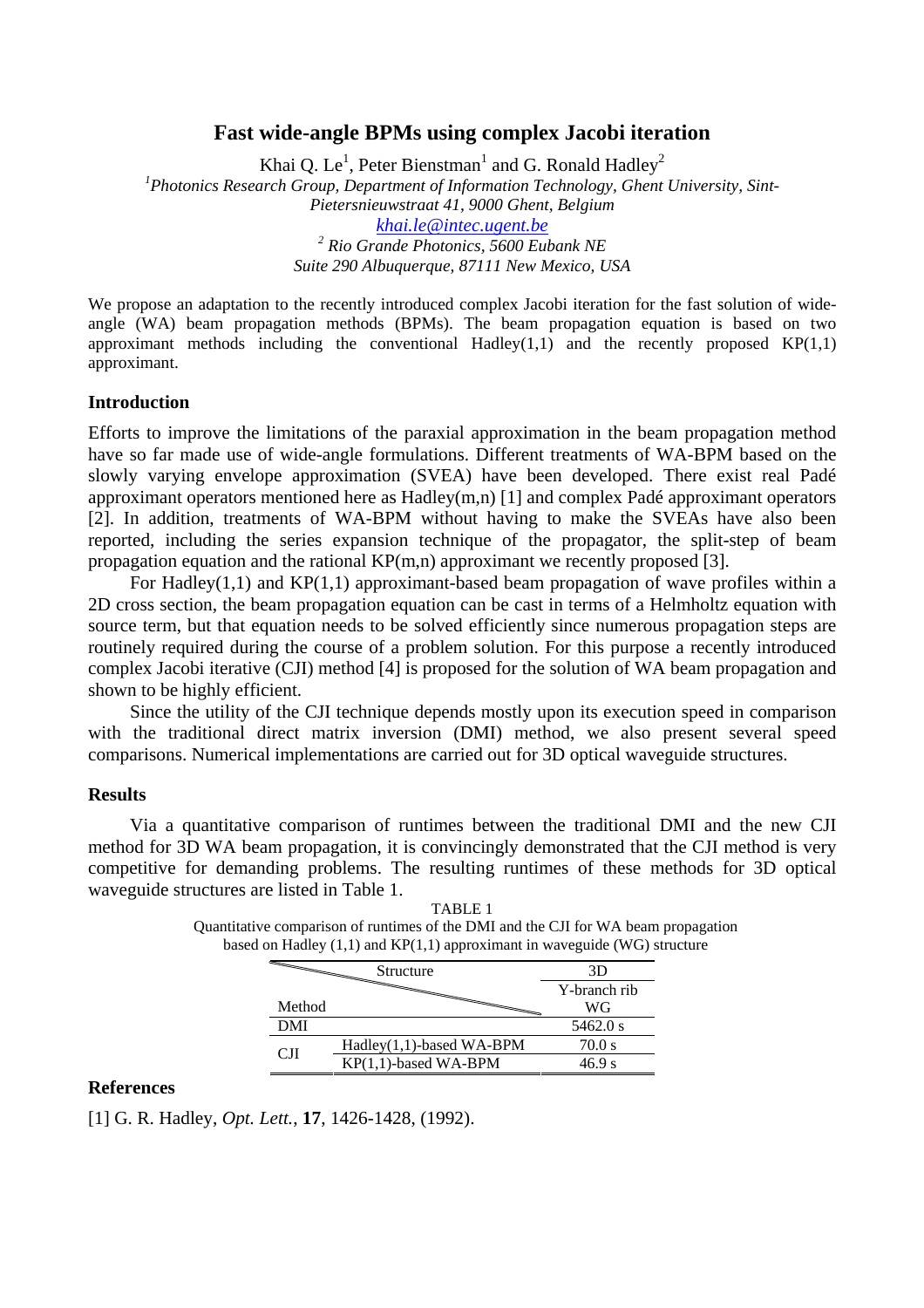## **Fast wide-angle BPMs using complex Jacobi iteration**

Khai O. Le<sup>1</sup>, Peter Bienstman<sup>1</sup> and G. Ronald Hadley<sup>2</sup> *1 Photonics Research Group, Department of Information Technology, Ghent University, Sint-Pietersnieuwstraat 41, 9000 Ghent, Belgium khai.le@intec.ugent.be 2 Rio Grande Photonics, 5600 Eubank NE Suite 290 Albuquerque, 87111 New Mexico, USA* 

We propose an adaptation to the recently introduced complex Jacobi iteration for the fast solution of wideangle (WA) beam propagation methods (BPMs). The beam propagation equation is based on two approximant methods including the conventional Hadley $(1,1)$  and the recently proposed  $KP(1,1)$ approximant.

## **Introduction**

Efforts to improve the limitations of the paraxial approximation in the beam propagation method have so far made use of wide-angle formulations. Different treatments of WA-BPM based on the slowly varying envelope approximation (SVEA) have been developed. There exist real Padé approximant operators mentioned here as Hadley(m,n) [1] and complex Padé approximant operators [2]. In addition, treatments of WA-BPM without having to make the SVEAs have also been reported, including the series expansion technique of the propagator, the split-step of beam propagation equation and the rational KP(m,n) approximant we recently proposed [3].

For Hadley(1,1) and  $KP(1,1)$  approximant-based beam propagation of wave profiles within a 2D cross section, the beam propagation equation can be cast in terms of a Helmholtz equation with source term, but that equation needs to be solved efficiently since numerous propagation steps are routinely required during the course of a problem solution. For this purpose a recently introduced complex Jacobi iterative (CJI) method [4] is proposed for the solution of WA beam propagation and shown to be highly efficient.

Since the utility of the CJI technique depends mostly upon its execution speed in comparison with the traditional direct matrix inversion (DMI) method, we also present several speed comparisons. Numerical implementations are carried out for 3D optical waveguide structures.

## **Results**

Via a quantitative comparison of runtimes between the traditional DMI and the new CJI method for 3D WA beam propagation, it is convincingly demonstrated that the CJI method is very competitive for demanding problems. The resulting runtimes of these methods for 3D optical waveguide structures are listed in Table 1.

| on Haulty (1,1) and $\mathbf{N}(\mathbf{1},\mathbf{1})$ approximant in waveguide (we) sut                                                                                                                                                                                                                                                                                                                                  |                          |              |
|----------------------------------------------------------------------------------------------------------------------------------------------------------------------------------------------------------------------------------------------------------------------------------------------------------------------------------------------------------------------------------------------------------------------------|--------------------------|--------------|
| $\begin{picture}(20,20) \put(0,0){\dashbox{0.5}(5,0){ }} \thicklines \put(0,0){\dashbox{0.5}(5,0){ }} \thicklines \put(15,0){\dashbox{0.5}(5,0){ }} \thicklines \put(15,0){\dashbox{0.5}(5,0){ }} \thicklines \put(15,0){\dashbox{0.5}(5,0){ }} \thicklines \put(15,0){\dashbox{0.5}(5,0){ }} \thicklines \put(15,0){\dashbox{0.5}(5,0){ }} \thicklines \put(15,0){\dashbox{0.5}(5,0){ }} \thicklines \put(15,0){\dashbox$ | Structure                | 3D           |
|                                                                                                                                                                                                                                                                                                                                                                                                                            |                          | Y-branch rib |
| Method                                                                                                                                                                                                                                                                                                                                                                                                                     |                          | WG           |
| DMI                                                                                                                                                                                                                                                                                                                                                                                                                        |                          | 5462.0 s     |
| CП                                                                                                                                                                                                                                                                                                                                                                                                                         | Hadley(1,1)-based WA-BPM | 70.0 s       |
|                                                                                                                                                                                                                                                                                                                                                                                                                            | $KP(1,1)$ -based WA-BPM  | 46.9 s       |

TABLE 1 Quantitative comparison of runtimes of the DMI and the CJI for WA beam propagation based on Hadley  $(1,1)$  and KP $(1,1)$  approximant in waveguide (WG) structure

## **References**

[1] G. R. Hadley, *Opt. Lett.*, **17**, 1426-1428, (1992).